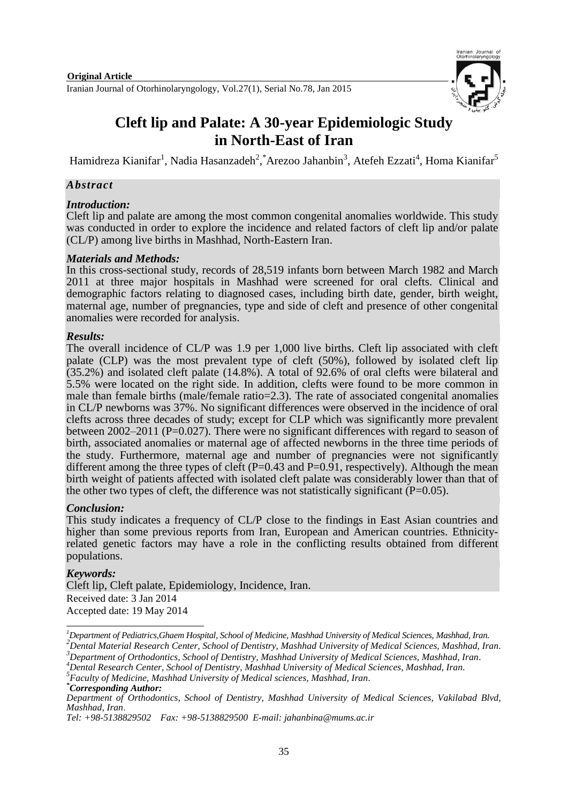

# **Cleft lip and Palate: A 30-year Epidemiologic Study in North-East of Iran**

Hamidreza Kianifar<sup>1</sup>, Nadia Hasanzadeh<sup>2</sup>, <sup>\*</sup>Arezoo Jahanbin<sup>3</sup>, Atefeh Ezzati<sup>4</sup>, Homa Kianifar<sup>5</sup>

## *Abstract*

#### *Introduction:*

Cleft lip and palate are among the most common congenital anomalies worldwide. This study was conducted in order to explore the incidence and related factors of cleft lip and/or palate (CL/P) among live births in Mashhad, North-Eastern Iran.

## *Materials and Methods:*

In this cross-sectional study, records of 28,519 infants born between March 1982 and March 2011 at three major hospitals in Mashhad were screened for oral clefts. Clinical and demographic factors relating to diagnosed cases, including birth date, gender, birth weight, maternal age, number of pregnancies, type and side of cleft and presence of other congenital anomalies were recorded for analysis.

## *Results:*

The overall incidence of CL/P was 1.9 per 1,000 live births. Cleft lip associated with cleft palate (CLP) was the most prevalent type of cleft (50%), followed by isolated cleft lip (35.2%) and isolated cleft palate (14.8%). A total of 92.6% of oral clefts were bilateral and 5.5% were located on the right side. In addition, clefts were found to be more common in male than female births (male/female ratio=2.3). The rate of associated congenital anomalies in CL/P newborns was 37%. No significant differences were observed in the incidence of oral clefts across three decades of study; except for CLP which was significantly more prevalent between 2002–2011 (P=0.027). There were no significant differences with regard to season of birth, associated anomalies or maternal age of affected newborns in the three time periods of the study. Furthermore, maternal age and number of pregnancies were not significantly different among the three types of cleft  $(P=0.43$  and  $P=0.91$ , respectively). Although the mean birth weight of patients affected with isolated cleft palate was considerably lower than that of the other two types of cleft, the difference was not statistically significant  $(P=0.05)$ .

# *Conclusion:*

This study indicates a frequency of CL/P close to the findings in East Asian countries and higher than some previous reports from Iran, European and American countries. Ethnicityrelated genetic factors may have a role in the conflicting results obtained from different populations.

# *Keywords:*

Cleft lip, Cleft palate, Epidemiology, Incidence, Iran. Received date: 3 Jan 2014 Accepted date: 19 May 2014

 $\overline{a}$ *<sup>1</sup>Department of Pediatrics,Ghaem Hospital, School of Medicine, Mashhad University of Medical Sciences, Mashhad, Iran. <sup>2</sup>Dental Material Research Center, School of Dentistry, Mashhad University of Medical Sciences, Mashhad, Iran. <sup>3</sup>Department of Orthodontics, School of Dentistry, Mashhad University of Medical Sciences, Mashhad, Iran.*

*<sup>4</sup>Dental Research Center, School of Dentistry, Mashhad University of Medical Sciences, Mashhad, Iran.*

*<sup>5</sup> Faculty of Medicine, Mashhad University of Medical sciences, Mashhad, Iran.*

*<sup>\*</sup>Corresponding Author:* 

*Department of Orthodontics, School of Dentistry, Mashhad University of Medical Sciences, Vakilabad Blvd, Mashhad, Iran*.

*Tel: +98-5138829502 Fax: +98-5138829500 E-mail: jahanbina@mums.ac.ir*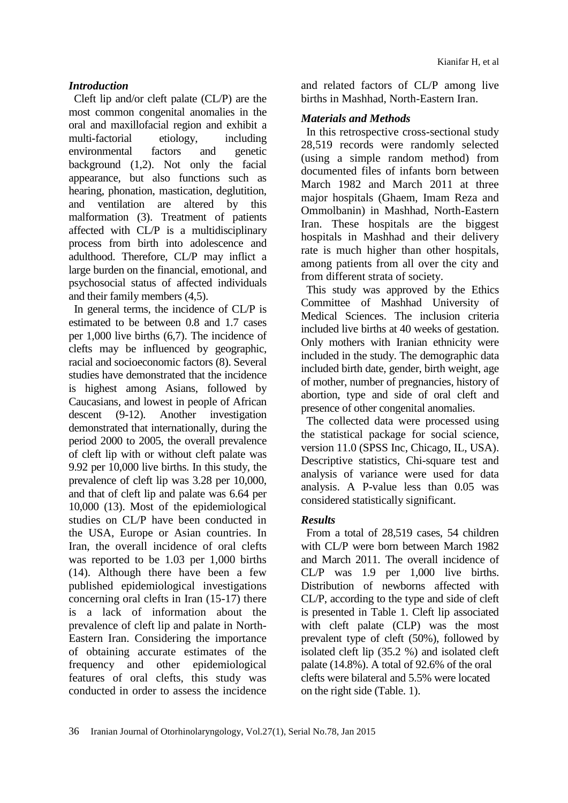## *Introduction*

Cleft lip and/or cleft palate (CL/P) are the most common congenital anomalies in the oral and maxillofacial region and exhibit a multi-factorial etiology, including environmental factors and genetic background (1,2). Not only the facial appearance, but also functions such as hearing, phonation, mastication, deglutition, and ventilation are altered by this malformation (3). Treatment of patients affected with CL/P is a multidisciplinary process from birth into adolescence and adulthood. Therefore, CL/P may inflict a large burden on the financial, emotional, and psychosocial status of affected individuals and their family members (4,5).

In general terms, the incidence of CL/P is estimated to be between 0.8 and 1.7 cases per 1,000 live births (6,7). The incidence of clefts may be influenced by geographic, racial and socioeconomic factors (8). Several studies have demonstrated that the incidence is highest among Asians, followed by Caucasians, and lowest in people of African descent (9-12). Another investigation demonstrated that internationally, during the period 2000 to 2005, the overall prevalence of cleft lip with or without cleft palate was 9.92 per 10,000 live births. In this study, the prevalence of cleft lip was 3.28 per 10,000, and that of cleft lip and palate was 6.64 per 10,000 (13). Most of the epidemiological studies on CL/P have been conducted in the USA, Europe or Asian countries. In Iran, the overall incidence of oral clefts was reported to be 1.03 per 1,000 births (14). Although there have been a few published epidemiological investigations concerning oral clefts in Iran (15-17) there is a lack of information about the prevalence of cleft lip and palate in North-Eastern Iran. Considering the importance of obtaining accurate estimates of the frequency and other epidemiological features of oral clefts, this study was conducted in order to assess the incidence

and related factors of CL/P among live births in Mashhad, North-Eastern Iran.

#### *Materials and Methods*

In this retrospective cross-sectional study 28,519 records were randomly selected (using a simple random method) from documented files of infants born between March 1982 and March 2011 at three major hospitals (Ghaem, Imam Reza and Ommolbanin) in Mashhad, North-Eastern Iran. These hospitals are the biggest hospitals in Mashhad and their delivery rate is much higher than other hospitals, among patients from all over the city and from different strata of society.

This study was approved by the Ethics Committee of Mashhad University of Medical Sciences. The inclusion criteria included live births at 40 weeks of gestation. Only mothers with Iranian ethnicity were included in the study. The demographic data included birth date, gender, birth weight, age of mother, number of pregnancies, history of abortion, type and side of oral cleft and presence of other congenital anomalies.

The collected data were processed using the statistical package for social science, version 11.0 (SPSS Inc, Chicago, IL, USA). Descriptive statistics, Chi-square test and analysis of variance were used for data analysis. A P-value less than 0.05 was considered statistically significant.

# *Results*

From a total of 28,519 cases, 54 children with CL/P were born between March 1982 and March 2011. The overall incidence of CL/P was 1.9 per 1,000 live births. Distribution of newborns affected with CL/P, according to the type and side of cleft is presented in Table 1. Cleft lip associated with cleft palate (CLP) was the most prevalent type of cleft (50%), followed by isolated cleft lip (35.2 %) and isolated cleft palate (14.8%). A total of 92.6% of the oral clefts were bilateral and 5.5% were located on the right side (Table. 1).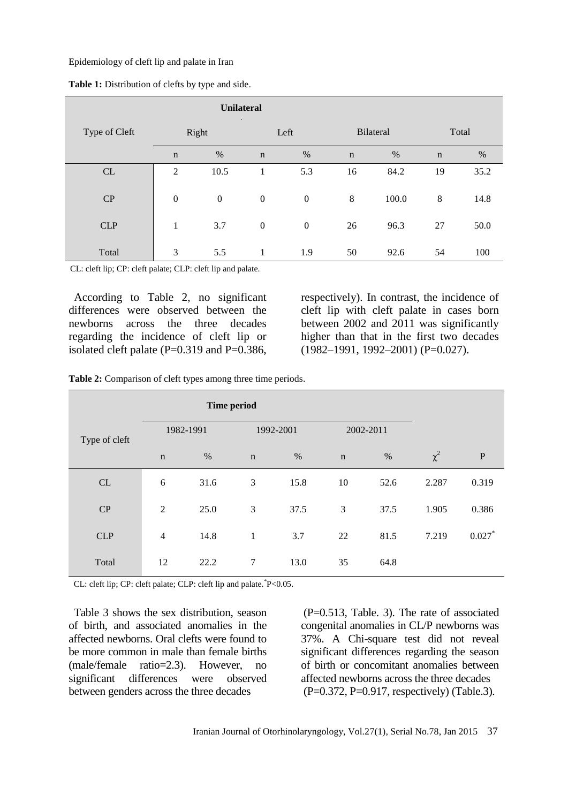Epidemiology of cleft lip and palate in Iran

|               | <b>Unilateral</b> |                  |                  |                |                  |       |             |      |
|---------------|-------------------|------------------|------------------|----------------|------------------|-------|-------------|------|
| Type of Cleft | Right             |                  | Left             |                | <b>Bilateral</b> |       | Total       |      |
|               | $\mathbf n$       | $\%$             | $\mathbf n$      | $\%$           | $\mathbf n$      | $\%$  | $\mathbf n$ | $\%$ |
| CL            | $\overline{2}$    | 10.5             | 1                | 5.3            | 16               | 84.2  | 19          | 35.2 |
| CP            | $\boldsymbol{0}$  | $\boldsymbol{0}$ | $\boldsymbol{0}$ | $\overline{0}$ | 8                | 100.0 | 8           | 14.8 |
| <b>CLP</b>    | 1                 | 3.7              | $\boldsymbol{0}$ | $\overline{0}$ | 26               | 96.3  | 27          | 50.0 |
| Total         | 3                 | 5.5              | 1                | 1.9            | 50               | 92.6  | 54          | 100  |

**Table 1:** Distribution of clefts by type and side.

CL: cleft lip; CP: cleft palate; CLP: cleft lip and palate.

According to Table 2, no significant differences were observed between the newborns across the three decades regarding the incidence of cleft lip or isolated cleft palate  $(P=0.319$  and  $P=0.386$ ,

respectively). In contrast, the incidence of cleft lip with cleft palate in cases born between 2002 and 2011 was significantly higher than that in the first two decades (1982–1991, 1992–2001) (P=0.027).

**Table 2:** Comparison of cleft types among three time periods.

| <b>Time period</b> |                |      |              |           |             |           |          |           |
|--------------------|----------------|------|--------------|-----------|-------------|-----------|----------|-----------|
| Type of cleft      | 1982-1991      |      |              | 1992-2001 |             | 2002-2011 |          |           |
|                    | $\mathbf n$    | $\%$ | $\mathbf n$  | $\%$      | $\mathbf n$ | $\%$      | $\chi^2$ | ${\bf P}$ |
| CL                 | 6              | 31.6 | 3            | 15.8      | 10          | 52.6      | 2.287    | 0.319     |
| CP                 | $\overline{2}$ | 25.0 | 3            | 37.5      | 3           | 37.5      | 1.905    | 0.386     |
| <b>CLP</b>         | $\overline{4}$ | 14.8 | $\mathbf{1}$ | 3.7       | 22          | 81.5      | 7.219    | $0.027*$  |
| Total              | 12             | 22.2 | 7            | 13.0      | 35          | 64.8      |          |           |

CL: cleft lip; CP: cleft palate; CLP: cleft lip and palate.\* P<0.05.

Table 3 shows the sex distribution, season of birth, and associated anomalies in the affected newborns. Oral clefts were found to be more common in male than female births (male/female ratio=2.3). However, no significant differences were observed between genders across the three decades

(P=0.513, Table. 3). The rate of associated congenital anomalies in CL/P newborns was 37%. A Chi-square test did not reveal significant differences regarding the season of birth or concomitant anomalies between affected newborns across the three decades (P=0.372, P=0.917, respectively) (Table.3).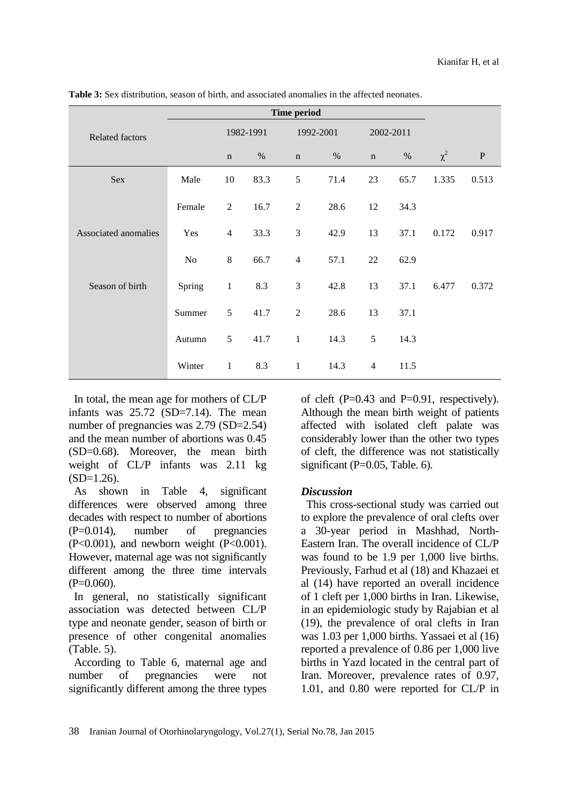**Table 3:** Sex distribution, season of birth, and associated anomalies in the affected neonates.

|                        | <b>Time period</b> |                |      |                |           |                |           |          |              |
|------------------------|--------------------|----------------|------|----------------|-----------|----------------|-----------|----------|--------------|
| <b>Related factors</b> |                    | 1982-1991      |      |                | 1992-2001 |                | 2002-2011 |          |              |
|                        |                    | $\mathbf n$    | $\%$ | $\mathbf n$    | $\%$      | $\mathbf n$    | $\%$      | $\chi^2$ | $\, {\bf P}$ |
| Sex                    | Male               | $10\,$         | 83.3 | 5              | 71.4      | 23             | 65.7      | 1.335    | 0.513        |
|                        | Female             | 2              | 16.7 | $\overline{2}$ | 28.6      | 12             | 34.3      |          |              |
| Associated anomalies   | Yes                | $\overline{4}$ | 33.3 | 3              | 42.9      | 13             | 37.1      | 0.172    | 0.917        |
|                        | N <sub>0</sub>     | 8              | 66.7 | $\overline{4}$ | 57.1      | 22             | 62.9      |          |              |
| Season of birth        | Spring             | $\mathbf{1}$   | 8.3  | 3              | 42.8      | 13             | 37.1      | 6.477    | 0.372        |
|                        | Summer             | 5              | 41.7 | $\overline{2}$ | 28.6      | 13             | 37.1      |          |              |
|                        | Autumn             | 5              | 41.7 | $\mathbf{1}$   | 14.3      | 5              | 14.3      |          |              |
|                        | Winter             | $\mathbf{1}$   | 8.3  | $\mathbf{1}$   | 14.3      | $\overline{4}$ | 11.5      |          |              |

In total, the mean age for mothers of CL/P infants was 25.72 (SD=7.14). The mean number of pregnancies was 2.79 (SD=2.54) and the mean number of abortions was 0.45 (SD=0.68). Moreover, the mean birth weight of CL/P infants was 2.11 kg  $(SD=1.26)$ .

As shown in Table 4, significant differences were observed among three decades with respect to number of abortions (P=0.014), number of pregnancies  $(P<0.001)$ , and newborn weight  $(P<0.001)$ . However, maternal age was not significantly different among the three time intervals  $(P=0.060)$ .

In general, no statistically significant association was detected between CL/P type and neonate gender, season of birth or presence of other congenital anomalies (Table. 5).

According to Table 6, maternal age and number of pregnancies were not significantly different among the three types

of cleft  $(P=0.43$  and  $P=0.91$ , respectively). Although the mean birth weight of patients affected with isolated cleft palate was considerably lower than the other two types of cleft, the difference was not statistically significant  $(P=0.05, Table 6)$ .

#### *Discussion*

This cross-sectional study was carried out to explore the prevalence of oral clefts over a 30-year period in Mashhad, North-Eastern Iran. The overall incidence of CL/P was found to be 1.9 per 1,000 live births. Previously, Farhud et al (18) and Khazaei et al (14) have reported an overall incidence of 1 cleft per 1,000 births in Iran. Likewise, in an epidemiologic study by Rajabian et al (19), the prevalence of oral clefts in Iran was 1.03 per 1,000 births. Yassaei et al (16) reported a prevalence of 0.86 per 1,000 live births in Yazd located in the central part of Iran. Moreover, prevalence rates of 0.97, 1.01, and 0.80 were reported for CL/P in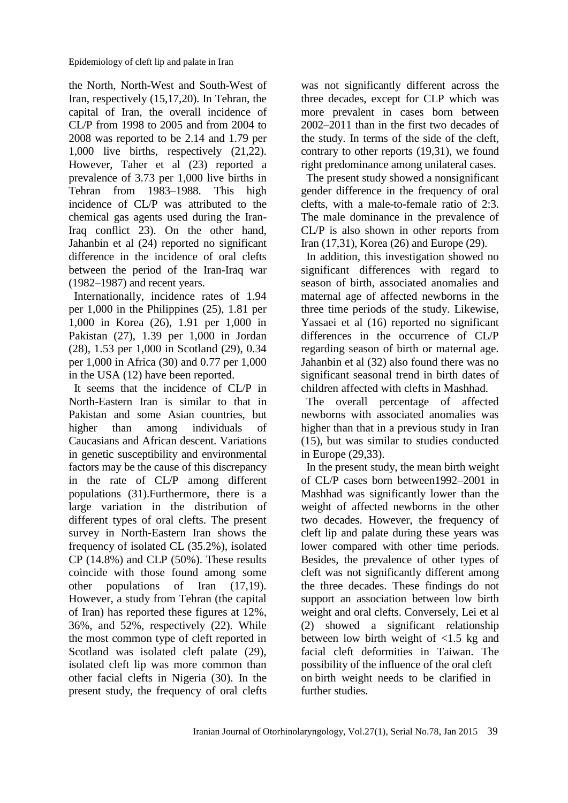the North, North-West and South-West of Iran, respectively (15,17,20). In Tehran, the capital of Iran, the overall incidence of CL/P from 1998 to 2005 and from 2004 to 2008 was reported to be 2.14 and 1.79 per 1,000 live births, respectively (21,22). However, Taher et al (23) reported a prevalence of 3.73 per 1,000 live births in Tehran from 1983–1988. This high incidence of CL/P was attributed to the chemical gas agents used during the Iran-Iraq conflict 23). On the other hand, Jahanbin et al (24) reported no significant difference in the incidence of oral clefts between the period of the Iran-Iraq war (1982–1987) and recent years.

Internationally, incidence rates of 1.94 per 1,000 in the Philippines (25), 1.81 per 1,000 in Korea (26), 1.91 per 1,000 in Pakistan (27), 1.39 per 1,000 in Jordan (28), 1.53 per 1,000 in Scotland (29), 0.34 per 1,000 in Africa (30) and 0.77 per 1,000 in the USA (12) have been reported.

It seems that the incidence of CL/P in North-Eastern Iran is similar to that in Pakistan and some Asian countries, but higher than among individuals of Caucasians and African descent. Variations in genetic susceptibility and environmental factors may be the cause of this discrepancy in the rate of CL/P among different populations (31).Furthermore, there is a large variation in the distribution of different types of oral clefts. The present survey in North-Eastern Iran shows the frequency of isolated CL (35.2%), isolated CP (14.8%) and CLP (50%). These results coincide with those found among some other populations of Iran (17,19). However, a study from Tehran (the capital of Iran) has reported these figures at 12%, 36%, and 52%, respectively (22). While the most common type of cleft reported in Scotland was isolated cleft palate  $(29)$ , isolated cleft lip was more common than other facial clefts in Nigeria (30). In the present study, the frequency of oral clefts

was not significantly different across the three decades, except for CLP which was more prevalent in cases born between 2002–2011 than in the first two decades of the study. In terms of the side of the cleft, contrary to other reports (19,31), we found right predominance among unilateral cases.

The present study showed a nonsignificant gender difference in the frequency of oral clefts, with a male-to-female ratio of 2:3. The male dominance in the prevalence of CL/P is also shown in other reports from Iran (17,31), Korea (26) and Europe (29).

In addition, this investigation showed no significant differences with regard to season of birth, associated anomalies and maternal age of affected newborns in the three time periods of the study. Likewise, Yassaei et al (16) reported no significant differences in the occurrence of CL/P regarding season of birth or maternal age. Jahanbin et al (32) also found there was no significant seasonal trend in birth dates of children affected with clefts in Mashhad.

The overall percentage of affected newborns with associated anomalies was higher than that in a previous study in Iran (15), but was similar to studies conducted in Europe (29,33).

In the present study, the mean birth weight of CL/P cases born between1992–2001 in Mashhad was significantly lower than the weight of affected newborns in the other two decades. However, the frequency of cleft lip and palate during these years was lower compared with other time periods. Besides, the prevalence of other types of cleft was not significantly different among the three decades. These findings do not support an association between low birth weight and oral clefts. Conversely, Lei et al (2) showed a significant relationship between low birth weight of <1.5 kg and facial cleft deformities in Taiwan. The possibility of the influence of the oral cleft on birth weight needs to be clarified in further studies.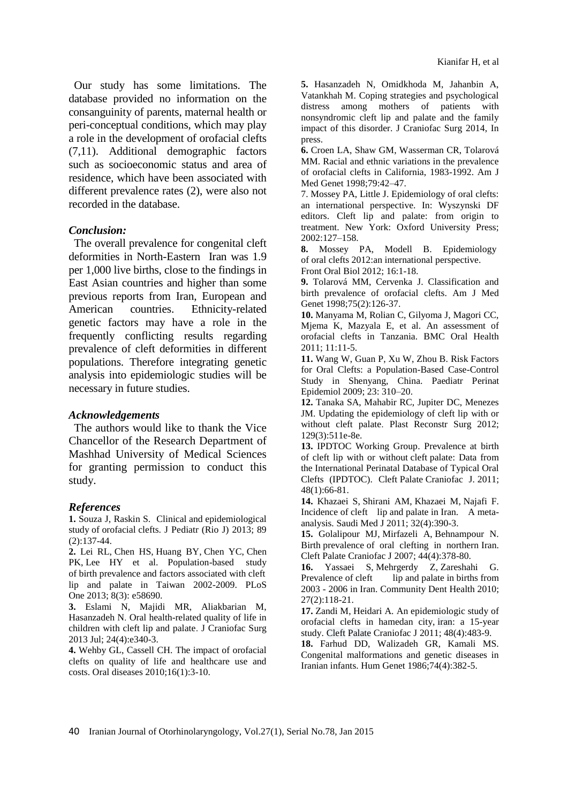Our study has some limitations. The database provided no information on the consanguinity of parents, maternal health or peri-conceptual conditions, which may play a role in the development of orofacial clefts (7,11). Additional demographic factors such as socioeconomic status and area of residence, which have been associated with different prevalence rates (2), were also not recorded in the database.

#### *Conclusion:*

The overall prevalence for congenital cleft deformities in North-Eastern Iran was 1.9 per 1,000 live births, close to the findings in East Asian countries and higher than some previous reports from Iran, European and American countries. Ethnicity-related genetic factors may have a role in the frequently conflicting results regarding prevalence of cleft deformities in different populations. Therefore integrating genetic analysis into epidemiologic studies will be necessary in future studies.

#### *Acknowledgements*

The authors would like to thank the Vice Chancellor of the Research Department of Mashhad University of Medical Sciences for granting permission to conduct this study.

#### *References*

**1.** Souza J, Raskin S. Clinical and [epidemiological](http://www.ncbi.nlm.nih.gov/pubmed/23642423)  study of [orofacial](http://www.ncbi.nlm.nih.gov/pubmed/23642423) clefts. J Pediatr (Rio J) 2013; 89 (2):137-44.

**2.** [Lei RL,](http://www.ncbi.nlm.nih.gov/pubmed?term=Lei%20RL%5BAuthor%5D&cauthor=true&cauthor_uid=23555592) [Chen HS,](http://www.ncbi.nlm.nih.gov/pubmed?term=Chen%20HS%5BAuthor%5D&cauthor=true&cauthor_uid=23555592) [Huang BY,](http://www.ncbi.nlm.nih.gov/pubmed?term=Huang%20BY%5BAuthor%5D&cauthor=true&cauthor_uid=23555592) [Chen YC,](http://www.ncbi.nlm.nih.gov/pubmed?term=Chen%20YC%5BAuthor%5D&cauthor=true&cauthor_uid=23555592) [Chen](http://www.ncbi.nlm.nih.gov/pubmed?term=Chen%20PK%5BAuthor%5D&cauthor=true&cauthor_uid=23555592)  [PK,](http://www.ncbi.nlm.nih.gov/pubmed?term=Chen%20PK%5BAuthor%5D&cauthor=true&cauthor_uid=23555592) [Lee HY](http://www.ncbi.nlm.nih.gov/pubmed?term=Lee%20HY%5BAuthor%5D&cauthor=true&cauthor_uid=23555592) et al. Population-based study of birth prevalence and factors associated with cleft lip and palate in Taiwan 2002-2009. [PLoS](http://www.ncbi.nlm.nih.gov/pubmed/23555592)  [One](http://www.ncbi.nlm.nih.gov/pubmed/23555592) 2013; 8(3): e58690.

**3.** Eslami N, Majidi MR, Aliakbarian M, Hasanzadeh N. Oral health-related quality of life in children with cleft lip and palate. J Craniofac Surg 2013 Jul; 24(4):e340-3.

**4.** Wehby GL, Cassell CH. The impact of orofacial clefts on quality of life and healthcare use and costs. Oral diseases 2010;16(1):3-10.

**5.** Hasanzadeh N, Omidkhoda M, Jahanbin A, Vatankhah M. Coping strategies and psychological distress among mothers of patients with nonsyndromic cleft lip and palate and the family impact of this disorder. J Craniofac Surg 2014, In press.

**6.** Croen LA, Shaw GM, Wasserman CR, Tolarová MM. Racial and ethnic variations in the prevalence of orofacial clefts in California, 1983-1992. Am J Med Genet 1998;79:42–47.

7. Mossey PA, Little J. Epidemiology of oral clefts: an international perspective. In: Wyszynski DF editors. Cleft lip and palate: from origin to treatment. New York: Oxford University Press; 2002:127–158.

**8.** Mossey PA, Modell B. Epidemiology of oral clefts 2012:an international perspective. [Front](http://www.ncbi.nlm.nih.gov/pubmed/?term=Epidemiology+of+oral+clefts+2012%3Aan+international+perspective) Oral Biol 2012; 16:1-18.

**9.** Tolarová MM, Cervenka J. Classification and birth prevalence of orofacial clefts. Am J Med Genet 1998;75(2):126-37.

**10.** Manyama M, Rolian C, Gilyoma J, Magori CC, Mjema K, Mazyala E, et al. [An assessment of](http://www.ncbi.nlm.nih.gov/pubmed/21288337)  [orofacial clefts in Tanzania.](http://www.ncbi.nlm.nih.gov/pubmed/21288337) BMC Oral Health 2011; 11:11-5.

**11.** Wang W, Guan P, Xu W, Zhou B. Risk Factors for Oral Clefts: a Population-Based Case-Control Study in Shenyang, China. Paediatr Perinat Epidemiol 2009; 23: 310–20.

**12.** Tanaka SA, Mahabir RC, Jupiter DC, Menezes JM. Updating the epidemiology of cleft lip with or without cleft palate. Plast Reconstr Surg 2012; 129(3):511e-8e.

**13.** IPDTOC Working Group. Prevalence at birth of cleft lip with or without cleft palate: Data from the International Perinatal Database of Typical Oral Clefts (IPDTOC). Cleft Palate [Craniofac J.](http://www.ncbi.nlm.nih.gov/pubmed/20507242) 2011; 48(1):66-81.

**14.** [Khazaei S,](http://www.ncbi.nlm.nih.gov/pubmed?term=Khazaei%20S%5BAuthor%5D&cauthor=true&cauthor_uid=21483999) [Shirani AM,](http://www.ncbi.nlm.nih.gov/pubmed?term=Shirani%20AM%5BAuthor%5D&cauthor=true&cauthor_uid=21483999) [Khazaei M,](http://www.ncbi.nlm.nih.gov/pubmed?term=Khazaei%20M%5BAuthor%5D&cauthor=true&cauthor_uid=21483999) [Najafi F.](http://www.ncbi.nlm.nih.gov/pubmed?term=Najafi%20F%5BAuthor%5D&cauthor=true&cauthor_uid=21483999) Incidence of cleft lip and palate in Iran. A metaanalysis. [Saudi Med J](http://www.ncbi.nlm.nih.gov/pubmed/21483999) 2011; 32(4):390-3.

**15.** [Golalipour MJ,](http://www.ncbi.nlm.nih.gov/pubmed?term=Golalipour%20MJ%5BAuthor%5D&cauthor=true&cauthor_uid=17608544) [Mirfazeli A,](http://www.ncbi.nlm.nih.gov/pubmed?term=Mirfazeli%20A%5BAuthor%5D&cauthor=true&cauthor_uid=17608544) [Behnampour N.](http://www.ncbi.nlm.nih.gov/pubmed?term=Behnampour%20N%5BAuthor%5D&cauthor=true&cauthor_uid=17608544) Birth prevalence of oral clefting in northern Iran. Cleft Palate [Craniofac J](http://www.ncbi.nlm.nih.gov/pubmed/17608544) 2007; 44(4):378-80.

**16.** [Yassaei S,](http://www.ncbi.nlm.nih.gov/pubmed?term=Yassaei%20S%5BAuthor%5D&cauthor=true&cauthor_uid=20648890) [Mehrgerdy Z,](http://www.ncbi.nlm.nih.gov/pubmed?term=Mehrgerdy%20Z%5BAuthor%5D&cauthor=true&cauthor_uid=20648890) [Zareshahi G.](http://www.ncbi.nlm.nih.gov/pubmed?term=Zareshahi%20G%5BAuthor%5D&cauthor=true&cauthor_uid=20648890) Prevalence of cleft lip and palate in births from 2003 - 2006 in Iran[. Community Dent Health](http://www.ncbi.nlm.nih.gov/pubmed/20648890) 2010; 27(2):118-21.

**17.** [Zandi M,](http://www.ncbi.nlm.nih.gov/pubmed?term=Zandi%20M%5BAuthor%5D&cauthor=true&cauthor_uid=20572780) [Heidari A.](http://www.ncbi.nlm.nih.gov/pubmed?term=Heidari%20A%5BAuthor%5D&cauthor=true&cauthor_uid=20572780) An epidemiologic study of orofacial clefts in hamedan city, iran: a 15-year study. Cleft Palate [Craniofac J](http://www.ncbi.nlm.nih.gov/pubmed/20572780) 2011; 48(4):483-9.

**18.** Farhud DD, Walizadeh GR, Kamali MS. Congenital malformations and genetic diseases in Iranian infants. Hum Genet 1986;74(4):382-5.